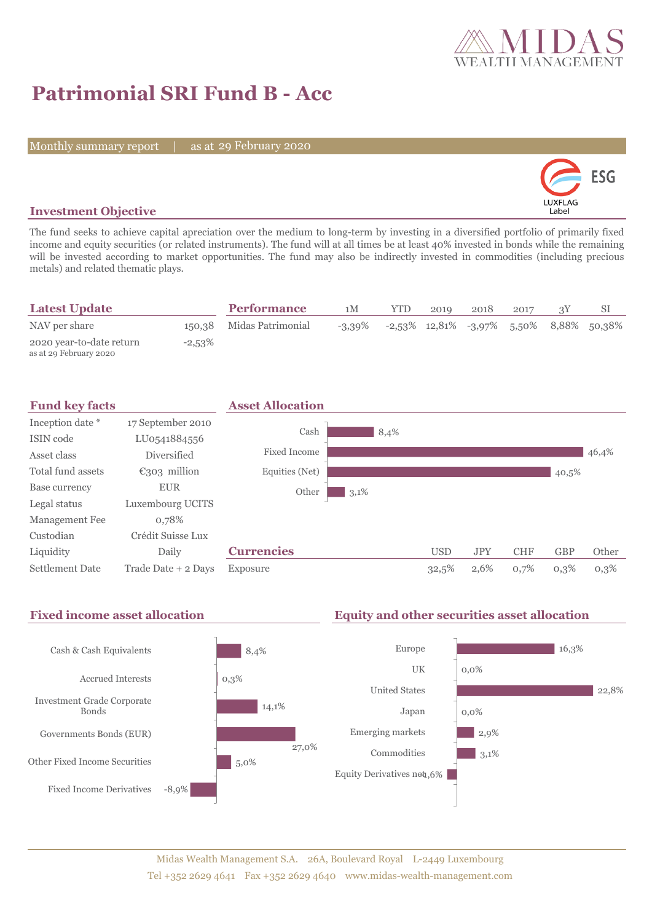

# **Patrimonial SRI Fund B - Acc**

Monthly summary report | as at 29 February 2020



# **Investment Objective**

The fund seeks to achieve capital apreciation over the medium to long-term by investing in a diversified portfolio of primarily fixed income and equity securities (or related instruments). The fund will at all times be at least 40% invested in bonds while the remaining will be invested according to market opportunities. The fund may also be indirectly invested in commodities (including precious metals) and related thematic plays.

| <b>Latest Update</b>                               |           | <b>Performance</b>       | 1M | <b>YTD</b> | 2019 | 2018 | 2017 |                                                                     |
|----------------------------------------------------|-----------|--------------------------|----|------------|------|------|------|---------------------------------------------------------------------|
| NAV per share                                      |           | 150,38 Midas Patrimonial |    |            |      |      |      | $-3.39\%$ $-2.53\%$ $12.81\%$ $-3.97\%$ $5.50\%$ $8.88\%$ $50.38\%$ |
| 2020 year-to-date return<br>as at 29 February 2020 | $-2,53\%$ |                          |    |            |      |      |      |                                                                     |



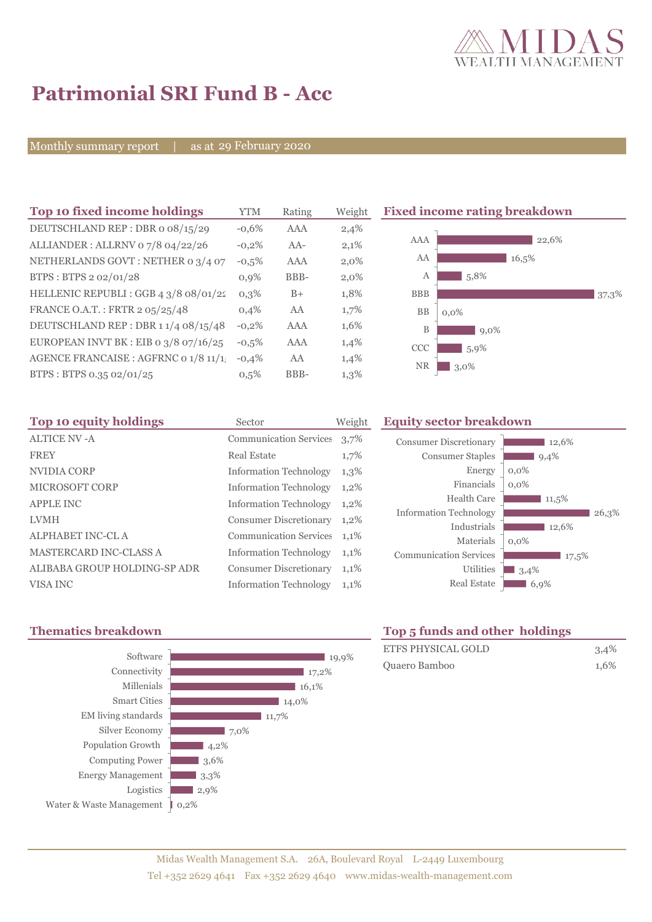

# **Patrimonial SRI Fund B - Acc**

Monthly summary report | as at 29 February 2020

| Top 10 fixed income holdings            | YTM     | Rating | Weight |
|-----------------------------------------|---------|--------|--------|
| DEUTSCHLAND REP: DBR o 08/15/29         | $-0.6%$ | AAA    | 2,4%   |
| ALLIANDER: ALLRNV 07/8 04/22/26         | $-0,2%$ | $AA-$  | 2,1%   |
| NETHERLANDS GOVT: NETHER 0 3/4 07       | $-0,5%$ | AAA    | 2,0%   |
| BTPS: BTPS 2 02/01/28                   | 0.9%    | BBB-   | 2,0%   |
| HELLENIC REPUBLI : GGB 4 3/8 08/01/22   | $0.3\%$ | $B+$   | 1,8%   |
| FRANCE O.A.T.: FRTR 2 05/25/48          | 0.4%    | AA     | 1,7%   |
| DEUTSCHLAND REP: DBR 11/4 08/15/48      | $-0,2%$ | AAA    | 1,6%   |
| EUROPEAN INVT BK : EIB o $3/8$ 07/16/25 | $-0.5%$ | AAA    | 1,4%   |
| AGENCE FRANCAISE : AGFRNC 0 1/8 11/1!   | $-0.4%$ | AA     | 1,4%   |
| BTPS: BTPS 0.35 02/01/25                | 0.5%    | BBB-   | 1,3%   |
|                                         |         |        |        |

**Fixed income rating breakdown** 



| Top 10 equity holdings        | Sector                        | Weight  |
|-------------------------------|-------------------------------|---------|
| <b>ALTICE NV - A</b>          | <b>Communication Services</b> | 3,7%    |
| <b>FREY</b>                   | Real Estate                   | $1,7\%$ |
| NVIDIA CORP                   | <b>Information Technology</b> | 1,3%    |
| <b>MICROSOFT CORP</b>         | <b>Information Technology</b> | 1,2%    |
| <b>APPLE INC</b>              | <b>Information Technology</b> | 1,2%    |
| <b>LVMH</b>                   | <b>Consumer Discretionary</b> | $1,2\%$ |
| <b>ALPHABET INC-CL A</b>      | <b>Communication Services</b> | 1,1%    |
| <b>MASTERCARD INC-CLASS A</b> | <b>Information Technology</b> | 1,1%    |
| ALIBABA GROUP HOLDING-SP ADR  | <b>Consumer Discretionary</b> | 1,1%    |
| VISA INC                      | <b>Information Technology</b> | 1,1%    |

# **Equity sector breakdown**

| <b>Consumer Discretionary</b> | 12,6%   |
|-------------------------------|---------|
| <b>Consumer Staples</b>       | 9,4%    |
| Energy                        | $0,0\%$ |
| Financials                    | 0.0%    |
| Health Care                   | 11,5%   |
| <b>Information Technology</b> | 26,3%   |
| Industrials                   | 12,6%   |
| Materials                     | $0.0\%$ |
| <b>Communication Services</b> | 17,5%   |
| <b>Utilities</b>              | 3,4%    |
| <b>Real Estate</b>            | 6,9%    |



# **Thematics breakdown Top 5 funds and other holdings**

| <b>ETFS PHYSICAL GOLD</b> | 3,4% |
|---------------------------|------|
| Quaero Bamboo             | 1.6% |